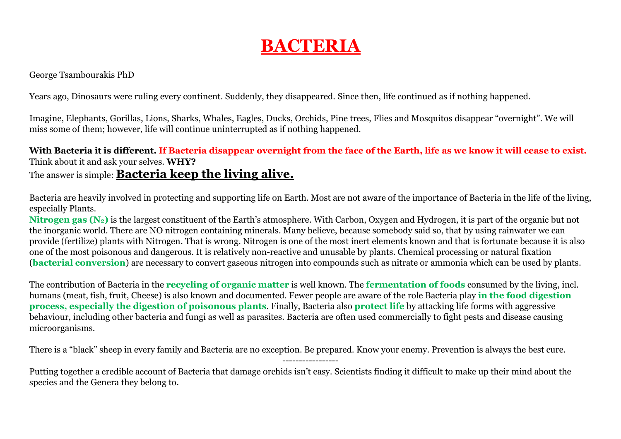# **BACTERIA**

#### George Tsambourakis PhD

Years ago, Dinosaurs were ruling every continent. Suddenly, they disappeared. Since then, life continued as if nothing happened.

Imagine, Elephants, Gorillas, Lions, Sharks, Whales, Eagles, Ducks, Orchids, Pine trees, Flies and Mosquitos disappear "overnight". We will miss some of them; however, life will continue uninterrupted as if nothing happened.

#### **With Bacteria it is different. If Bacteria disappear overnight from the face of the Earth, life as we know it will cease to exist.** Think about it and ask your selves. **WHY?** The answer is simple: **Bacteria keep the living alive.**

Bacteria are heavily involved in protecting and supporting life on Earth. Most are not aware of the importance of Bacteria in the life of the living, especially Plants.

**Nitrogen gas (N2)** is the largest constituent of the Earth's atmosphere. With Carbon, Oxygen and Hydrogen, it is part of the organic but not the inorganic world. There are NO nitrogen containing minerals. Many believe, because somebody said so, that by using rainwater we can provide (fertilize) plants with Nitrogen. That is wrong. Nitrogen is one of the most inert elements known and that is fortunate because it is also one of the most poisonous and dangerous. It is relatively non-reactive and unusable by plants. Chemical processing or natural fixation (**bacterial conversion**) are necessary to convert gaseous nitrogen into compounds such as nitrate or ammonia which can be used by plants.

The contribution of Bacteria in the **recycling of organic matter** is well known. The **fermentation of foods** consumed by the living, incl. humans (meat, fish, fruit, Cheese) is also known and documented. Fewer people are aware of the role Bacteria play **in the food digestion process, especially the digestion of poisonous plants**. Finally, Bacteria also **protect life** by attacking life forms with aggressive behaviour, including other bacteria and fungi as well as parasites. Bacteria are often used commercially to fight pests and disease causing microorganisms.

There is a "black" sheep in every family and Bacteria are no exception. Be prepared. Know your enemy. Prevention is always the best cure. -----------------

Putting together a credible account of Bacteria that damage orchids isn't easy. Scientists finding it difficult to make up their mind about the species and the Genera they belong to.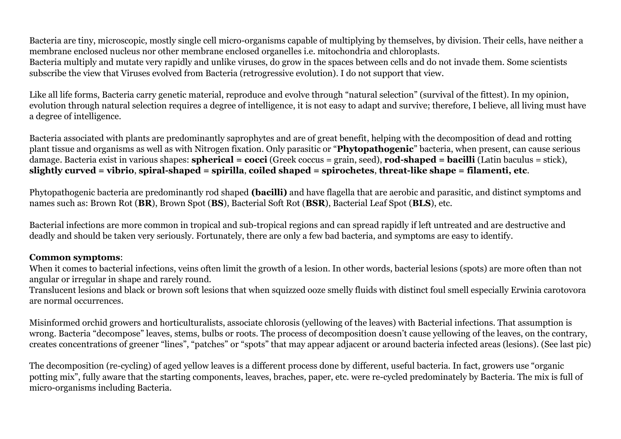Bacteria are tiny, microscopic, mostly single cell micro-organisms capable of multiplying by themselves, by division. Their cells, have neither a membrane enclosed nucleus nor other membrane enclosed organelles i.e. mitochondria and chloroplasts. Bacteria multiply and mutate very rapidly and unlike viruses, do grow in the spaces between cells and do not invade them. Some scientists subscribe the view that Viruses evolved from Bacteria (retrogressive evolution). I do not support that view.

Like all life forms, Bacteria carry genetic material, reproduce and evolve through "natural selection" (survival of the fittest). In my opinion, evolution through natural selection requires a degree of intelligence, it is not easy to adapt and survive; therefore, I believe, all living must have a degree of intelligence.

Bacteria associated with plants are predominantly saprophytes and are of great benefit, helping with the decomposition of dead and rotting plant tissue and organisms as well as with Nitrogen fixation. Only parasitic or "**Phytopathogenic**" bacteria, when present, can cause serious damage. Bacteria exist in various shapes: **spherical = cocci** (Greek coccus = grain, seed), **rod-shaped = bacilli** (Latin baculus = stick), **slightly curved = vibrio**, **spiral-shaped = spirilla**, **coiled shaped = spirochetes**, **threat-like shape = filamenti, etc**.

Phytopathogenic bacteria are predominantly rod shaped **(bacilli)** and have flagella that are aerobic and parasitic, and distinct symptoms and names such as: Brown Rot (**BR**), Brown Spot (**BS**), Bacterial Soft Rot (**BSR**), Bacterial Leaf Spot (**BLS**), etc.

Bacterial infections are more common in tropical and sub-tropical regions and can spread rapidly if left untreated and are destructive and deadly and should be taken very seriously. Fortunately, there are only a few bad bacteria, and symptoms are easy to identify.

#### **Common symptoms**:

When it comes to bacterial infections, veins often limit the growth of a lesion. In other words, bacterial lesions (spots) are more often than not angular or irregular in shape and rarely round.

Translucent lesions and black or brown soft lesions that when squizzed ooze smelly fluids with distinct foul smell especially Erwinia carotovora are normal occurrences.

Misinformed orchid growers and horticulturalists, associate chlorosis (yellowing of the leaves) with Bacterial infections. That assumption is wrong. Bacteria "decompose" leaves, stems, bulbs or roots. The process of decomposition doesn't cause yellowing of the leaves, on the contrary, creates concentrations of greener "lines", "patches" or "spots" that may appear adjacent or around bacteria infected areas (lesions). (See last pic)

The decomposition (re-cycling) of aged yellow leaves is a different process done by different, useful bacteria. In fact, growers use "organic potting mix", fully aware that the starting components, leaves, braches, paper, etc. were re-cycled predominately by Bacteria. The mix is full of micro-organisms including Bacteria.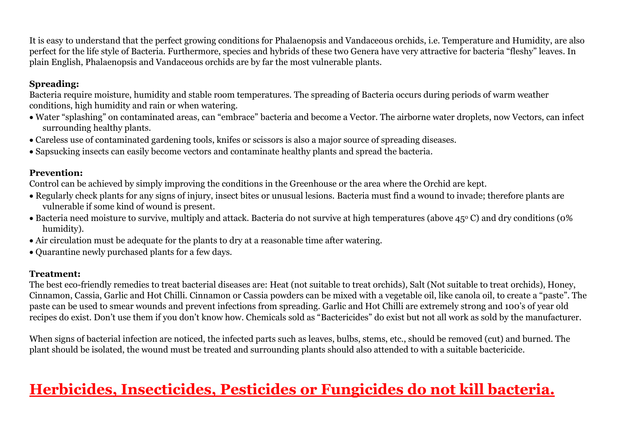It is easy to understand that the perfect growing conditions for Phalaenopsis and Vandaceous orchids, i.e. Temperature and Humidity, are also perfect for the life style of Bacteria. Furthermore, species and hybrids of these two Genera have very attractive for bacteria "fleshy" leaves. In plain English, Phalaenopsis and Vandaceous orchids are by far the most vulnerable plants.

### **Spreading:**

Bacteria require moisture, humidity and stable room temperatures. The spreading of Bacteria occurs during periods of warm weather conditions, high humidity and rain or when watering.

- Water "splashing" on contaminated areas, can "embrace" bacteria and become a Vector. The airborne water droplets, now Vectors, can infect surrounding healthy plants.
- Careless use of contaminated gardening tools, knifes or scissors is also a major source of spreading diseases.
- Sapsucking insects can easily become vectors and contaminate healthy plants and spread the bacteria.

### **Prevention:**

Control can be achieved by simply improving the conditions in the Greenhouse or the area where the Orchid are kept.

- Regularly check plants for any signs of injury, insect bites or unusual lesions. Bacteria must find a wound to invade; therefore plants are vulnerable if some kind of wound is present.
- Bacteria need moisture to survive, multiply and attack. Bacteria do not survive at high temperatures (above 45°C) and dry conditions (0% humidity).
- Air circulation must be adequate for the plants to dry at a reasonable time after watering.
- Quarantine newly purchased plants for a few days.

### **Treatment:**

The best eco-friendly remedies to treat bacterial diseases are: Heat (not suitable to treat orchids), Salt (Not suitable to treat orchids), Honey, Cinnamon, Cassia, Garlic and Hot Chilli. Cinnamon or Cassia powders can be mixed with a vegetable oil, like canola oil, to create a "paste". The paste can be used to smear wounds and prevent infections from spreading. Garlic and Hot Chilli are extremely strong and 100's of year old recipes do exist. Don't use them if you don't know how. Chemicals sold as "Bactericides" do exist but not all work as sold by the manufacturer.

When signs of bacterial infection are noticed, the infected parts such as leaves, bulbs, stems, etc., should be removed (cut) and burned. The plant should be isolated, the wound must be treated and surrounding plants should also attended to with a suitable bactericide.

# **Herbicides, Insecticides, Pesticides or Fungicides do not kill bacteria.**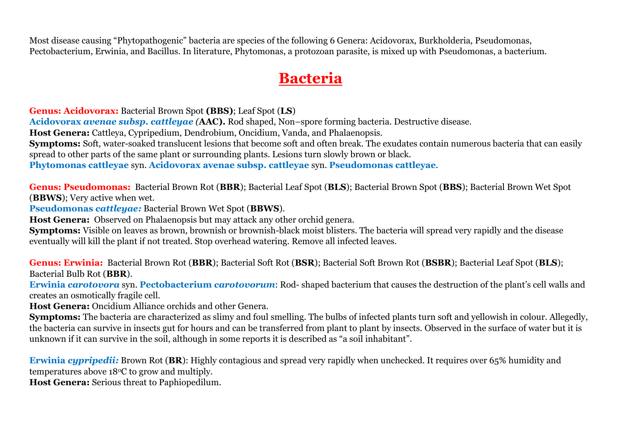Most disease causing "Phytopathogenic" bacteria are species of the following 6 Genera: Acidovorax, Burkholderia, Pseudomonas, Pectobacterium, Erwinia, and Bacillus. In literature, Phytomonas, a protozoan parasite, is mixed up with Pseudomonas, a bacterium.

## **Bacteria**

**Genus: Acidovorax:** Bacterial Brown Spot **(BBS)**; Leaf Spot (**LS**)

**Acidovorax** *avenae subsp. cattleyae (***AAC).** Rod shaped, Non–spore forming bacteria. Destructive disease.

**Host Genera:** Cattleya, Cypripedium, Dendrobium, Oncidium, Vanda, and Phalaenopsis.

**Symptoms:** Soft, water-soaked translucent lesions that become soft and often break. The exudates contain numerous bacteria that can easily spread to other parts of the same plant or surrounding plants. Lesions turn slowly brown or black.

**Phytomonas cattleyae** syn. **Acidovorax avenae subsp. cattleyae** syn. **Pseudomonas cattleyae**.

**Genus: Pseudomonas:** Bacterial Brown Rot (**BBR**); Bacterial Leaf Spot (**BLS**); Bacterial Brown Spot (**BBS**); Bacterial Brown Wet Spot (**BBWS**); Very active when wet.

**Pseudomonas** *cattleyae:* Bacterial Brown Wet Spot (**BBWS**).

**Host Genera:** Observed on Phalaenopsis but may attack any other orchid genera.

**Symptoms:** Visible on leaves as brown, brownish or brownish-black moist blisters. The bacteria will spread very rapidly and the disease eventually will kill the plant if not treated. Stop overhead watering. Remove all infected leaves.

**Genus: Erwinia:** Bacterial Brown Rot (**BBR**); Bacterial Soft Rot (**BSR**); Bacterial Soft Brown Rot (**BSBR**); Bacterial Leaf Spot (**BLS**); Bacterial Bulb Rot (**BBR**).

**Erwinia** *carotovora* syn. **Pectobacterium** *carotovorum*: Rod- shaped bacterium that causes the destruction of the plant's cell walls and creates an osmotically fragile cell.

**Host Genera:** Oncidium Alliance orchids and other Genera.

**Symptoms:** The bacteria are characterized as slimy and foul smelling. The bulbs of infected plants turn soft and yellowish in colour. Allegedly, the bacteria can survive in insects gut for hours and can be transferred from plant to plant by insects. Observed in the surface of water but it is unknown if it can survive in the soil, although in some reports it is described as "a soil inhabitant".

**Erwinia** *cypripedii:* Brown Rot (**BR**): Highly contagious and spread very rapidly when unchecked. It requires over 65% humidity and temperatures above 18<sup>o</sup>C to grow and multiply.

**Host Genera:** Serious threat to Paphiopedilum.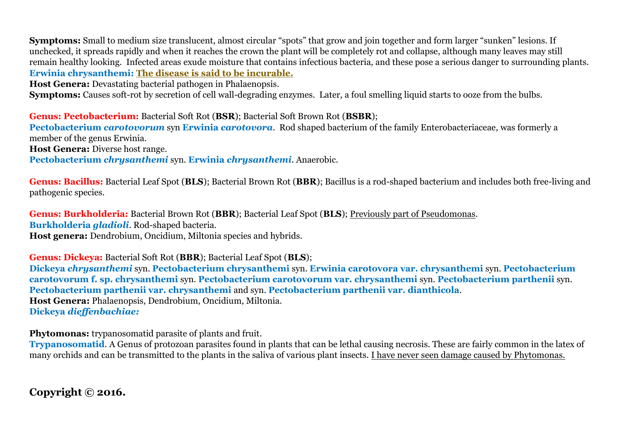**Symptoms:** Small to medium size translucent, almost circular "spots" that grow and join together and form larger "sunken" lesions. If unchecked, it spreads rapidly and when it reaches the crown the plant will be completely rot and collapse, although many leaves may still remain healthy looking. Infected areas exude moisture that contains infectious bacteria, and these pose a serious danger to surrounding plants. **Erwinia chrysanthemi: The disease is said to be incurable.** 

**Host Genera:** Devastating bacterial pathogen in Phalaenopsis.

**Symptoms:** Causes soft-rot by secretion of cell wall-degrading enzymes. Later, a foul smelling liquid starts to ooze from the bulbs.

**Genus: Pectobacterium:** Bacterial Soft Rot (**BSR**); Bacterial Soft Brown Rot (**BSBR**);

**Pectobacterium** *carotovorum* syn **Erwinia** *carotovora*. Rod shaped bacterium of the family Enterobacteriaceae, was formerly a member of the genus Erwinia.

**Host Genera:** Diverse host range.

**Pectobacterium** *chrysanthemi* syn. **Erwinia** *chrysanthemi*. Anaerobic.

**Genus: Bacillus:** Bacterial Leaf Spot (**BLS**); Bacterial Brown Rot (**BBR**); Bacillus is a rod-shaped bacterium and includes both free-living and pathogenic species.

**Genus: Burkholderia:** Bacterial Brown Rot (**BBR**); Bacterial Leaf Spot (**BLS**); Previously part of Pseudomonas. **Burkholderia** *gladioli*. Rod-shaped bacteria. **Host genera:** Dendrobium, Oncidium, Miltonia species and hybrids.

**Genus: Dickeya:** Bacterial Soft Rot (**BBR**); Bacterial Leaf Spot (**BLS**);

**Dickeya** *chrysanthemi* syn. **Pectobacterium chrysanthemi** syn. **Erwinia carotovora var. chrysanthemi** syn. **Pectobacterium carotovorum f. sp. chrysanthemi** syn. **Pectobacterium carotovorum var. chrysanthemi** syn. **Pectobacterium parthenii** syn. **Pectobacterium parthenii var. chrysanthemi** and syn. **Pectobacterium parthenii var. dianthicola**. **Host Genera:** Phalaenopsis, Dendrobium, Oncidium, Miltonia. **Dickeya** *dieffenbachiae:*

**Phytomonas:** trypanosomatid parasite of plants and fruit.

**Trypanosomatid**. A Genus of protozoan parasites found in plants that can be lethal causing necrosis. These are fairly common in the latex of many orchids and can be transmitted to the plants in the saliva of various plant insects. I have never seen damage caused by Phytomonas.

**Copyright © 2016.**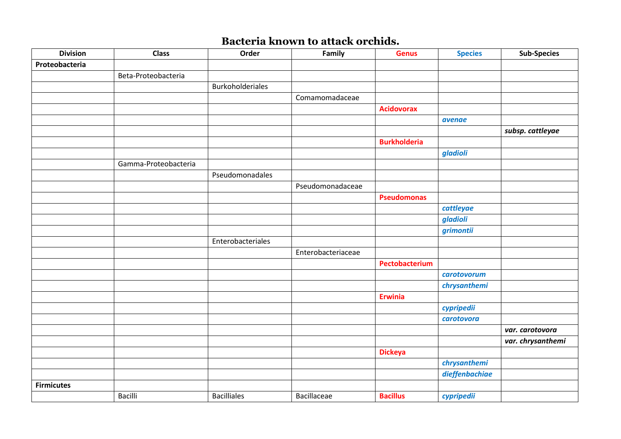### **Bacteria known to attack orchids.**

| <b>Division</b>   | <b>Class</b>         | Order                   | Family             | <b>Genus</b>        | <b>Species</b> | <b>Sub-Species</b> |
|-------------------|----------------------|-------------------------|--------------------|---------------------|----------------|--------------------|
| Proteobacteria    |                      |                         |                    |                     |                |                    |
|                   | Beta-Proteobacteria  |                         |                    |                     |                |                    |
|                   |                      | <b>Burkoholderiales</b> |                    |                     |                |                    |
|                   |                      |                         | Comamomadaceae     |                     |                |                    |
|                   |                      |                         |                    | <b>Acidovorax</b>   |                |                    |
|                   |                      |                         |                    |                     | avenae         |                    |
|                   |                      |                         |                    |                     |                | subsp. cattleyae   |
|                   |                      |                         |                    | <b>Burkholderia</b> |                |                    |
|                   |                      |                         |                    |                     | gladioli       |                    |
|                   | Gamma-Proteobacteria |                         |                    |                     |                |                    |
|                   |                      | Pseudomonadales         |                    |                     |                |                    |
|                   |                      |                         | Pseudomonadaceae   |                     |                |                    |
|                   |                      |                         |                    | <b>Pseudomonas</b>  |                |                    |
|                   |                      |                         |                    |                     | cattleyae      |                    |
|                   |                      |                         |                    |                     | gladioli       |                    |
|                   |                      |                         |                    |                     | grimontii      |                    |
|                   |                      | Enterobacteriales       |                    |                     |                |                    |
|                   |                      |                         | Enterobacteriaceae |                     |                |                    |
|                   |                      |                         |                    | Pectobacterium      |                |                    |
|                   |                      |                         |                    |                     | carotovorum    |                    |
|                   |                      |                         |                    |                     | chrysanthemi   |                    |
|                   |                      |                         |                    | <b>Erwinia</b>      |                |                    |
|                   |                      |                         |                    |                     | cypripedii     |                    |
|                   |                      |                         |                    |                     | carotovora     |                    |
|                   |                      |                         |                    |                     |                | var. carotovora    |
|                   |                      |                         |                    |                     |                | var. chrysanthemi  |
|                   |                      |                         |                    | <b>Dickeya</b>      |                |                    |
|                   |                      |                         |                    |                     | chrysanthemi   |                    |
|                   |                      |                         |                    |                     | dieffenbachiae |                    |
| <b>Firmicutes</b> |                      |                         |                    |                     |                |                    |
|                   | <b>Bacilli</b>       | <b>Bacilliales</b>      | Bacillaceae        | <b>Bacillus</b>     | cypripedii     |                    |